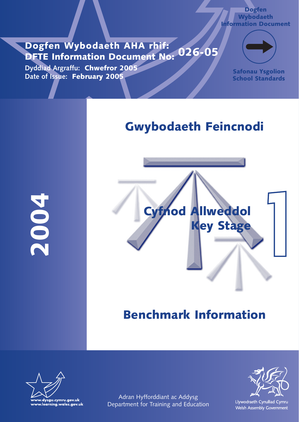### **Dogfen Wybodaeth AHA rhif: DFTE Information Document No: 026-05**

**Dyddiad Argraffu: Chwefror 2005 Date of Issue: February 2005**



**Dogfen Wybodaeth Information Document**

> **Safonau Ysgolion School Standards**

## **Gwybodaeth Feincnodi**

**2004**



## **Benchmark Information**



Adran Hyfforddiant ac Addysg Department for Training and Education



Llywodraeth Cynulliad Cymru Welsh Assembly Government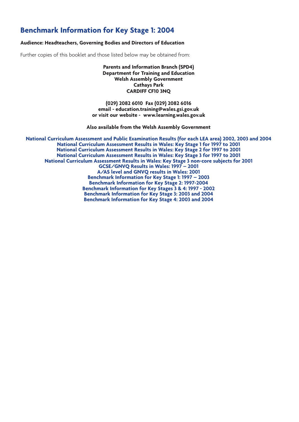### **Benchmark Information for Key Stage 1: 2004**

#### **Audience: Headteachers, Governing Bodies and Directors of Education**

Further copies of this booklet and those listed below may be obtained from:

**Parents and Information Branch (SPD4) Department for Training and Education Welsh Assembly Government Cathays Park CARDIFF CF10 3NQ**

**(029) 2082 6010 Fax (029) 2082 6016 email - education.training@wales.gsi.gov.uk or visit our website - www.learning.wales.gov.uk**

**Also available from the Welsh Assembly Government**

**National Curriculum Assessment and Public Examination Results (for each LEA area) 2002, 2003 and 2004 National Curriculum Assessment Results in Wales: Key Stage 1 for 1997 to 2001 National Curriculum Assessment Results in Wales: Key Stage 2 for 1997 to 2001 National Curriculum Assessment Results in Wales: Key Stage 3 for 1997 to 2001 National Curriculum Assessment Results in Wales: Key Stage 3 non-core subjects for 2001 GCSE/GNVQ Results in Wales: 1997 – 2001 A/AS level and GNVQ results in Wales: 2001 Benchmark Information for Key Stage 1: 1997 – 2003 Benchmark Information for Key Stage 2: 1997-2004 Benchmark Information for Key Stages 3 & 4: 1997 - 2002 Benchmark Information for Key Stage 3: 2003 and 2004 Benchmark Information for Key Stage 4: 2003 and 2004**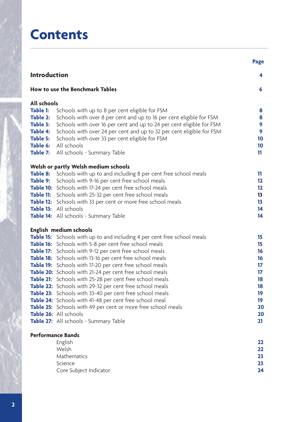# **Contents**

|                                                                                                                      |                                                                                                                                                                                                                                                                                                                                                                                                                                                                                                                                                                                                                                                                                                                                                                                           | <b>Page</b>                                                                |
|----------------------------------------------------------------------------------------------------------------------|-------------------------------------------------------------------------------------------------------------------------------------------------------------------------------------------------------------------------------------------------------------------------------------------------------------------------------------------------------------------------------------------------------------------------------------------------------------------------------------------------------------------------------------------------------------------------------------------------------------------------------------------------------------------------------------------------------------------------------------------------------------------------------------------|----------------------------------------------------------------------------|
| <b>Introduction</b>                                                                                                  |                                                                                                                                                                                                                                                                                                                                                                                                                                                                                                                                                                                                                                                                                                                                                                                           | 4                                                                          |
|                                                                                                                      | <b>How to use the Benchmark Tables</b>                                                                                                                                                                                                                                                                                                                                                                                                                                                                                                                                                                                                                                                                                                                                                    | 6                                                                          |
| <b>All schools</b><br><b>Table 1:</b><br>Table 2:<br>Table 3:<br><b>Table 4:</b><br>Table 5:<br>Table 6:<br>Table 7: | Schools with up to 8 per cent eligible for FSM<br>Schools with over 8 per cent and up to 16 per cent eligible for FSM<br>Schools with over 16 per cent and up to 24 per cent eligible for FSM<br>Schools with over 24 per cent and up to 32 per cent eligible for FSM<br>Schools with over 33 per cent eligible for FSM<br>All schools<br>All schools - Summary Table                                                                                                                                                                                                                                                                                                                                                                                                                     | 8<br>8<br>9<br>9<br>10<br>10<br>11                                         |
| Table 8:                                                                                                             | Welsh or partly Welsh medium schools<br>Schools with up to and including 8 per cent free school meals<br>Table 9: Schools with 9-16 per cent free school meals<br>Table 10: Schools with 17-24 per cent free school meals<br>Table 11: Schools with 25-32 per cent free school meals<br>Table 12: Schools with 33 per cent or more free school meals<br>Table 13: All schools<br>Table 14: All schools - Summary Table                                                                                                                                                                                                                                                                                                                                                                    | 11<br>12<br>12<br>13<br>13<br>14<br>14                                     |
|                                                                                                                      | English medium schools<br><b>Table 15:</b> Schools with up to and including 4 per cent free school meals<br>Table 16: Schools with 5-8 per cent free school meals<br>Table 17: Schools with 9-12 per cent free school meals<br>Table 18: Schools with 13-16 per cent free school meals<br>Table 19: Schools with 17-20 per cent free school meals<br>Table 20: Schools with 21-24 per cent free school meals<br>Table 21: Schools with 25-28 per cent free school meals<br>Table 22: Schools with 29-32 per cent free school meals<br>Table 23: Schools with 33-40 per cent free school meals<br>Table 24: Schools with 41-48 per cent free school meal<br>Table 25: Schools with 49 per cent or more free school meals<br>Table 26: All schools<br>Table 27: All schools - Summary Table | 15<br>15<br>16<br>16<br>17<br>17<br>18<br>18<br>19<br>19<br>20<br>20<br>21 |
|                                                                                                                      | <b>Performance Bands</b><br>English<br>Welsh<br>Mathematics<br>Science<br>Core Subject Indicator                                                                                                                                                                                                                                                                                                                                                                                                                                                                                                                                                                                                                                                                                          | 22<br>22<br>23<br>23<br>24                                                 |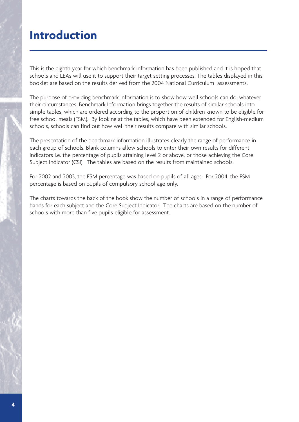## **Introduction**

This is the eighth year for which benchmark information has been published and it is hoped that schools and LEAs will use it to support their target setting processes. The tables displayed in this booklet are based on the results derived from the 2004 National Curriculum assessments.

The purpose of providing benchmark information is to show how well schools can do, whatever their circumstances. Benchmark Information brings together the results of similar schools into simple tables, which are ordered according to the proportion of children known to be eligible for free school meals (FSM). By looking at the tables, which have been extended for English-medium schools, schools can find out how well their results compare with similar schools.

The presentation of the benchmark information illustrates clearly the range of performance in each group of schools. Blank columns allow schools to enter their own results for different indicators i.e. the percentage of pupils attaining level 2 or above, or those achieving the Core Subject Indicator (CSI). The tables are based on the results from maintained schools.

For 2002 and 2003, the FSM percentage was based on pupils of all ages. For 2004, the FSM percentage is based on pupils of compulsory school age only.

The charts towards the back of the book show the number of schools in a range of performance bands for each subject and the Core Subject Indicator. The charts are based on the number of schools with more than five pupils eligible for assessment.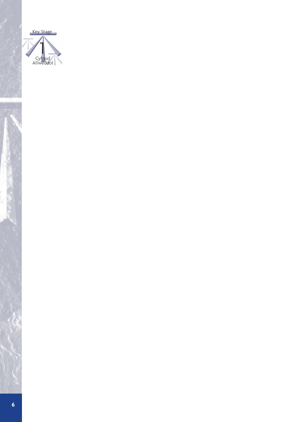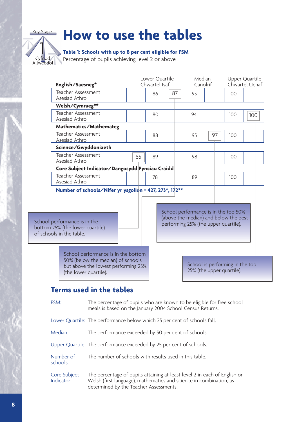# **How to use the tables**

#### **Table 1: Schools with up to 8 per cent eligible for FSM**

Percentage of pupils achieving level 2 or above

Cyfnod Allweddol

|<br>|<br>|

Key Stage

| English/Saesneg*                                                                            |                                                                                                                                          |    | Lower Quartile<br>Chwartel Isaf |    |                                                                                                                       | Median<br>Canolrif                                           | Upper Quartile<br>Chwartel Uchaf |     |
|---------------------------------------------------------------------------------------------|------------------------------------------------------------------------------------------------------------------------------------------|----|---------------------------------|----|-----------------------------------------------------------------------------------------------------------------------|--------------------------------------------------------------|----------------------------------|-----|
| <b>Teacher Assessment</b><br>Asesiad Athro                                                  |                                                                                                                                          |    | 86                              | 87 | 93                                                                                                                    |                                                              | 100                              |     |
| Welsh/Cymraeg**                                                                             |                                                                                                                                          |    |                                 |    |                                                                                                                       |                                                              |                                  |     |
| Teacher Assessment<br>Asesiad Athro                                                         |                                                                                                                                          |    | 80                              |    | 94                                                                                                                    |                                                              | 100                              | 100 |
|                                                                                             | Mathematics/Mathemateg                                                                                                                   |    |                                 |    |                                                                                                                       |                                                              |                                  |     |
| Teacher Assessment<br>Asesiad Athro                                                         |                                                                                                                                          |    | 88                              |    | 95                                                                                                                    | 97                                                           | 100                              |     |
|                                                                                             | Science/Gwyddoniaeth                                                                                                                     |    |                                 |    |                                                                                                                       |                                                              |                                  |     |
| Teacher Assessment<br>Asesiad Athro                                                         |                                                                                                                                          | 85 | 89                              |    | 98                                                                                                                    |                                                              | 100                              |     |
|                                                                                             | Core Subject Indicator/Dangosydd Pynciau Craidd                                                                                          |    |                                 |    |                                                                                                                       |                                                              |                                  |     |
| Teacher Assessment<br>Asesiad Athro                                                         |                                                                                                                                          |    | 78                              |    | 89                                                                                                                    |                                                              | 100                              |     |
|                                                                                             | Number of schools/Nifer yr ysgolion = 427, 273*, 17 $2**$                                                                                |    |                                 |    |                                                                                                                       |                                                              |                                  |     |
| School performance is in the<br>bottom 25% (the lower quartile)<br>of schools in the table. |                                                                                                                                          |    |                                 |    | School performance is in the top 50%<br>(above the median) and below the best<br>performing 25% (the upper quartile). |                                                              |                                  |     |
|                                                                                             | School performance is in the bottom<br>50% (below the median) of schools<br>but above the lowest performing 25%<br>(the lower quartile). |    |                                 |    |                                                                                                                       | School is performing in the top<br>25% (the upper quartile). |                                  |     |

### **Terms used in the tables**

FSM: The percentage of pupils who are known to be eligible for free school meals is based on the January 2004 School Census Returns.

Lower Quartile: The performance below which 25 per cent of schools fall.

Median: The performance exceeded by 50 per cent of schools.

Upper Quartile: The performance exceeded by 25 per cent of schools.

Number of The number of schools with results used in this table. schools:

Core Subject The percentage of pupils attaining at least level 2 in each of English or Indicator: Welsh (first language), mathematics and science in combination, as Welsh (first language), mathematics and science in combination, as determined by the Teacher Assessments.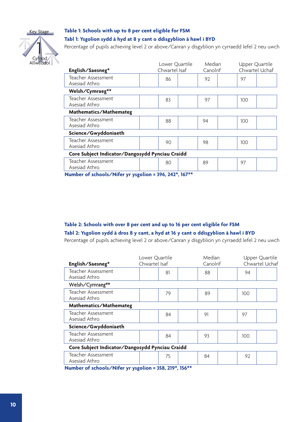

#### **Table 1: Schools with up to 8 per cent eligible for FSM Tabl 1: Ysgolion sydd â hyd at 8 y cant o ddisgyblion â hawl i BYD**

Percentage of pupils achieving level 2 or above/Canran y disgyblion yn cyrraedd lefel 2 neu uwch

| English/Saesneg*                                              | Lower Quartile<br>Chwartel Isaf | Median<br>Canolrif |     | Upper Quartile<br>Chwartel Uchaf |  |  |  |
|---------------------------------------------------------------|---------------------------------|--------------------|-----|----------------------------------|--|--|--|
| Teacher Assessment<br>Asesiad Athro                           | 86                              | 92                 | 97  |                                  |  |  |  |
| Welsh/Cymraeg**                                               |                                 |                    |     |                                  |  |  |  |
| Teacher Assessment<br>Asesiad Athro                           | 83                              | 97                 | 100 |                                  |  |  |  |
| Mathematics/Mathemateg                                        |                                 |                    |     |                                  |  |  |  |
| Teacher Assessment<br>Asesiad Athro                           | 88                              | 94                 | 100 |                                  |  |  |  |
| Science/Gwyddoniaeth                                          |                                 |                    |     |                                  |  |  |  |
| Teacher Assessment<br>Asesiad Athro                           | 90                              | 98                 | 100 |                                  |  |  |  |
| Core Subject Indicator/Dangosydd Pynciau Craidd               |                                 |                    |     |                                  |  |  |  |
| Teacher Assessment<br>Asesiad Athro                           | 80                              | 89                 | 97  |                                  |  |  |  |
| Nicoslove of colored a /NIIforcer concellore = 20% 242* 167** |                                 |                    |     |                                  |  |  |  |

**Number of schools/Nifer yr ysgolion = 396, 242\*, 167\*\***

#### **Table 2: Schools with over 8 per cent and up to 16 per cent eligible for FSM Tabl 2: Ysgolion sydd â dros 8 y cant, a hyd at 16 y cant o ddisgyblion â hawl i BYD**

Percentage of pupils achieving level 2 or above/Canran y disgyblion yn cyrraedd lefel 2 neu uwch

| English/Saesneg*                                                                                                                                                                                                                  | Lower Quartile<br>Chwartel Isaf |     |                      | Median<br>Canolrif |  |     | Upper Quartile<br>Chwartel Uchaf |
|-----------------------------------------------------------------------------------------------------------------------------------------------------------------------------------------------------------------------------------|---------------------------------|-----|----------------------|--------------------|--|-----|----------------------------------|
| Teacher Assessment<br>Asesiad Athro                                                                                                                                                                                               |                                 | 81  |                      | 88                 |  | 94  |                                  |
| Welsh/Cymraeg**                                                                                                                                                                                                                   |                                 |     |                      |                    |  |     |                                  |
| Teacher Assessment<br>Asesiad Athro                                                                                                                                                                                               |                                 | 79  |                      | 89                 |  | 100 |                                  |
| Mathematics/Mathemateg                                                                                                                                                                                                            |                                 |     |                      |                    |  |     |                                  |
| Teacher Assessment<br>Asesiad Athro                                                                                                                                                                                               |                                 | 84  |                      | 91                 |  | 97  |                                  |
| Science/Gwyddoniaeth                                                                                                                                                                                                              |                                 |     |                      |                    |  |     |                                  |
| Teacher Assessment<br>Asesiad Athro                                                                                                                                                                                               |                                 | 84  |                      | 93                 |  | 100 |                                  |
| Core Subject Indicator/Dangosydd Pynciau Craidd                                                                                                                                                                                   |                                 |     |                      |                    |  |     |                                  |
| Teacher Assessment<br>Asesiad Athro                                                                                                                                                                                               |                                 | 75  |                      | 84                 |  | 92  |                                  |
| $\mathbf{r}$ . The state of the state of the state of the state of the state of the state of the state of the state of the state of the state of the state of the state of the state of the state of the state of the state of th |                                 | --- | <b>CONTACT STATE</b> |                    |  |     |                                  |

**Number of schools/Nifer yr ysgolion = 358, 219\*, 156\*\***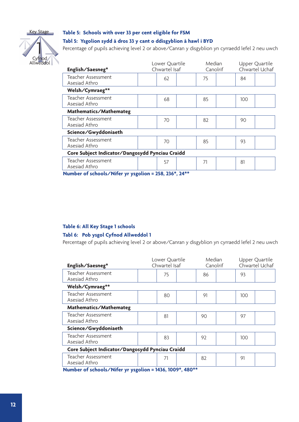

#### **Table 5: Schools with over 33 per cent eligible for FSM**

#### **Tabl 5: Ysgolion sydd â dros 33 y cant o ddisgyblion â hawl i BYD**

Percentage of pupils achieving level 2 or above/Canran y disgyblion yn cyrraedd lefel 2 neu uwch

| English/Saesneg*                                | Lower Quartile<br>Chwartel Isaf |    | Median<br>Canolrif |    | Upper Quartile<br>Chwartel Uchaf |     |  |  |
|-------------------------------------------------|---------------------------------|----|--------------------|----|----------------------------------|-----|--|--|
| Teacher Assessment<br>Asesiad Athro             |                                 | 62 |                    | 75 |                                  | 84  |  |  |
| Welsh/Cymraeg**                                 |                                 |    |                    |    |                                  |     |  |  |
| Teacher Assessment<br>Asesiad Athro             |                                 | 68 |                    | 85 |                                  | 100 |  |  |
| Mathematics/Mathemateg                          |                                 |    |                    |    |                                  |     |  |  |
| Teacher Assessment<br>Asesiad Athro             |                                 | 70 |                    | 82 |                                  | 90  |  |  |
| Science/Gwyddoniaeth                            |                                 |    |                    |    |                                  |     |  |  |
| Teacher Assessment<br>Asesiad Athro             |                                 | 70 |                    | 85 |                                  | 93  |  |  |
| Core Subject Indicator/Dangosydd Pynciau Craidd |                                 |    |                    |    |                                  |     |  |  |
| Teacher Assessment<br>Asesiad Athro<br>.        |                                 | 57 | . <b>.</b>         | 71 |                                  | 81  |  |  |

**Number of schools/Nifer yr ysgolion = 258, 236\*, 24\*\***

#### **Table 6: All Key Stage 1 schools**

#### **Tabl 6: Pob ysgol Cyfnod Allweddol 1**

Percentage of pupils achieving level 2 or above/Canran y disgyblion yn cyrraedd lefel 2 neu uwch

| English/Saesneg*                                | Lower Quartile<br>Chwartel Isaf |    | Median<br>Canolrif |    | Upper Quartile<br>Chwartel Uchaf |     |  |  |
|-------------------------------------------------|---------------------------------|----|--------------------|----|----------------------------------|-----|--|--|
| Teacher Assessment<br>Asesiad Athro             |                                 | 75 |                    | 86 |                                  | 93  |  |  |
| Welsh/Cymraeg**                                 |                                 |    |                    |    |                                  |     |  |  |
| Teacher Assessment<br>Asesiad Athro             |                                 | 80 |                    | 91 |                                  | 100 |  |  |
| Mathematics/Mathemateg                          |                                 |    |                    |    |                                  |     |  |  |
| Teacher Assessment<br>Asesiad Athro             |                                 | 81 |                    | 90 |                                  | 97  |  |  |
| Science/Gwyddoniaeth                            |                                 |    |                    |    |                                  |     |  |  |
| Teacher Assessment<br>Asesiad Athro             |                                 | 83 |                    | 92 |                                  | 100 |  |  |
| Core Subject Indicator/Dangosydd Pynciau Craidd |                                 |    |                    |    |                                  |     |  |  |
| Teacher Assessment<br>Asesiad Athro             |                                 | 71 |                    | 82 |                                  | 91  |  |  |

**Number of schools/Nifer yr ysgolion = 1436, 1009\*, 480\*\***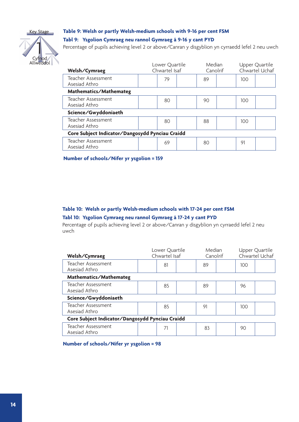

Cyfnod Allweddol

### **Table 9: Welsh or partly Welsh-medium schools with 9-16 per cent FSM**

#### **Tabl 9: Ysgolion Cymraeg neu rannol Gymraeg â 9-16 y cant PYD**

Percentage of pupils achieving level 2 or above/Canran y disgyblion yn cyrraedd lefel 2 neu uwch

| Welsh/Cymraeg                                   | Lower Quartile<br>Chwartel Isaf | Median<br>Canolrif |     | Upper Quartile<br>Chwartel Uchaf |  |  |  |  |
|-------------------------------------------------|---------------------------------|--------------------|-----|----------------------------------|--|--|--|--|
| Teacher Assessment<br>Asesiad Athro             | 79                              | 89                 | 100 |                                  |  |  |  |  |
| Mathematics/Mathemateg                          |                                 |                    |     |                                  |  |  |  |  |
| Teacher Assessment<br>Asesiad Athro             | 80                              | 90                 | 100 |                                  |  |  |  |  |
| Science/Gwyddoniaeth                            |                                 |                    |     |                                  |  |  |  |  |
| Teacher Assessment<br>Asesiad Athro             | 80                              | 88                 | 100 |                                  |  |  |  |  |
| Core Subject Indicator/Dangosydd Pynciau Craidd |                                 |                    |     |                                  |  |  |  |  |
| Teacher Assessment<br>Asesiad Athro             | 69                              | 80                 | 91  |                                  |  |  |  |  |

**Number of schools/Nifer yr ysgolion = 159**

#### **Table 10: Welsh or partly Welsh-medium schools with 17-24 per cent FSM**

#### **Tabl 10: Ysgolion Cymraeg neu rannol Gymraeg â 17-24 y cant PYD**

Percentage of pupils achieving level 2 or above/Canran y disgyblion yn cyrraedd lefel 2 neu uwch

| Welsh/Cymraeg                                   | Lower Quartile<br>Chwartel Isaf |    | Median<br>Canolrif |    | Upper Quartile<br>Chwartel Uchaf |     |  |  |
|-------------------------------------------------|---------------------------------|----|--------------------|----|----------------------------------|-----|--|--|
| Teacher Assessment<br>Asesiad Athro             |                                 | 81 |                    | 89 |                                  | 100 |  |  |
| Mathematics/Mathemateg                          |                                 |    |                    |    |                                  |     |  |  |
| Teacher Assessment<br>Asesiad Athro             |                                 | 85 |                    | 89 |                                  | 96  |  |  |
| Science/Gwyddoniaeth                            |                                 |    |                    |    |                                  |     |  |  |
| Teacher Assessment<br>Asesiad Athro             |                                 | 85 |                    | 91 |                                  | 100 |  |  |
| Core Subject Indicator/Dangosydd Pynciau Craidd |                                 |    |                    |    |                                  |     |  |  |
| Teacher Assessment<br>Asesiad Athro             |                                 | 71 |                    | 83 |                                  | 90  |  |  |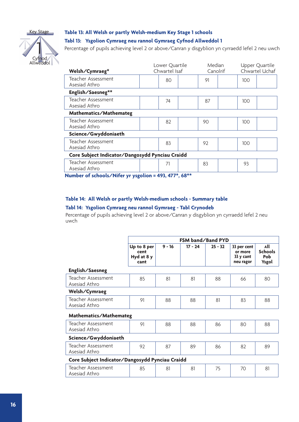

## Cyfn Allweddol |<br>|<br>|

#### **Table 13: All Welsh or partly Welsh-medium Key Stage 1 schools**

#### **Tabl 13: Ysgolion Cymraeg neu rannol Gymraeg Cyfnod Allweddol 1**

Percentage of pupils achieving level 2 or above/Canran y disgyblion yn cyrraedd lefel 2 neu uwch

| Welsh/Cymraeg*                                  | Lower Quartile<br>Chwartel Isaf |              | Median<br>Canolrif                                                                                                                                                                                                                                                                                                                                                                                                                                           |    | Upper Quartile<br>Chwartel Uchaf |     |  |
|-------------------------------------------------|---------------------------------|--------------|--------------------------------------------------------------------------------------------------------------------------------------------------------------------------------------------------------------------------------------------------------------------------------------------------------------------------------------------------------------------------------------------------------------------------------------------------------------|----|----------------------------------|-----|--|
| Teacher Assessment<br>Asesiad Athro             |                                 | 80           |                                                                                                                                                                                                                                                                                                                                                                                                                                                              | 91 |                                  | 100 |  |
| English/Saesneg**                               |                                 |              |                                                                                                                                                                                                                                                                                                                                                                                                                                                              |    |                                  |     |  |
| Teacher Assessment<br>Asesiad Athro             |                                 | 74           |                                                                                                                                                                                                                                                                                                                                                                                                                                                              | 87 |                                  | 100 |  |
| Mathematics/Mathemateg                          |                                 |              |                                                                                                                                                                                                                                                                                                                                                                                                                                                              |    |                                  |     |  |
| Teacher Assessment<br>Asesiad Athro             |                                 | 82           |                                                                                                                                                                                                                                                                                                                                                                                                                                                              | 90 |                                  | 100 |  |
| Science/Gwyddoniaeth                            |                                 |              |                                                                                                                                                                                                                                                                                                                                                                                                                                                              |    |                                  |     |  |
| Teacher Assessment<br>Asesiad Athro             |                                 | 83           |                                                                                                                                                                                                                                                                                                                                                                                                                                                              | 92 |                                  | 100 |  |
| Core Subject Indicator/Dangosydd Pynciau Craidd |                                 |              |                                                                                                                                                                                                                                                                                                                                                                                                                                                              |    |                                  |     |  |
| Teacher Assessment<br>Asesiad Athro<br>.        |                                 | 71<br>$\sim$ | $\mathcal{L} = \mathcal{L} + \mathcal{L} + \mathcal{L} + \mathcal{L} + \mathcal{L} + \mathcal{L} + \mathcal{L} + \mathcal{L} + \mathcal{L} + \mathcal{L} + \mathcal{L} + \mathcal{L} + \mathcal{L} + \mathcal{L} + \mathcal{L} + \mathcal{L} + \mathcal{L} + \mathcal{L} + \mathcal{L} + \mathcal{L} + \mathcal{L} + \mathcal{L} + \mathcal{L} + \mathcal{L} + \mathcal{L} + \mathcal{L} + \mathcal{L} + \mathcal{L} + \mathcal{L} + \mathcal{L} + \mathcal$ | 83 |                                  | 93  |  |

**Number of schools/Nifer yr ysgolion = 493, 477\*, 68\*\***

#### **Table 14: All Welsh or partly Welsh-medium schools - Summary table**

#### **Tabl 14: Ysgolion Cymraeg neu rannol Gymraeg - Tabl Crynodeb**

Percentage of pupils achieving level 2 or above/Canran y disgyblion yn cyrraedd lefel 2 neu uwch

|                                                 | FSM band/Band PYD                         |          |           |           |                                                  |                                       |  |  |
|-------------------------------------------------|-------------------------------------------|----------|-----------|-----------|--------------------------------------------------|---------------------------------------|--|--|
|                                                 | Up to 8 per<br>cent<br>Hyd at 8 y<br>cant | $9 - 16$ | $17 - 24$ | $25 - 32$ | 33 per cent<br>or more<br>33 y cant<br>neu ragor | All<br><b>Schools</b><br>Pob<br>Ysgol |  |  |
| English/Saesneg                                 |                                           |          |           |           |                                                  |                                       |  |  |
| Teacher Assessment<br>Asesiad Athro             | 85                                        | 81       | 81        | 88        | 66                                               | 80                                    |  |  |
| Welsh/Cymraeg                                   |                                           |          |           |           |                                                  |                                       |  |  |
| Teacher Assessment<br>Asesiad Athro             | 91                                        | 88       | 88        | 81        | 83                                               | 88                                    |  |  |
| Mathematics/Mathemateg                          |                                           |          |           |           |                                                  |                                       |  |  |
| Teacher Assessment<br>Asesiad Athro             | 91                                        | 88       | 88        | 86        | 80                                               | 88                                    |  |  |
| Science/Gwyddoniaeth                            |                                           |          |           |           |                                                  |                                       |  |  |
| Teacher Assessment<br>Asesiad Athro             | 92                                        | 87       | 89        | 86        | 82                                               | 89                                    |  |  |
| Core Subject Indicator/Dangosydd Pynciau Craidd |                                           |          |           |           |                                                  |                                       |  |  |
| Teacher Assessment<br>Asesiad Athro             | 85                                        | 81       | 81        | 75        | 70                                               | 81                                    |  |  |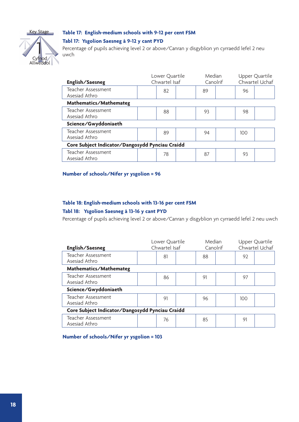

#### **Table 17: English-medium schools with 9-12 per cent FSM**

#### **Tabl 17: Ysgolion Saesneg â 9-12 y cant PYD**

Percentage of pupils achieving level 2 or above/Canran y disgyblion yn cyrraedd lefel 2 neu uwch

| English/Saesneg                                 | Lower Quartile<br>Chwartel Isaf | Median<br>Canolrif |     | Upper Quartile<br>Chwartel Uchaf |  |  |  |
|-------------------------------------------------|---------------------------------|--------------------|-----|----------------------------------|--|--|--|
| Teacher Assessment<br>Asesiad Athro             | 82                              | 89                 | 96  |                                  |  |  |  |
| Mathematics/Mathemateg                          |                                 |                    |     |                                  |  |  |  |
| Teacher Assessment<br>Asesiad Athro             | 88                              | 93                 | 98  |                                  |  |  |  |
| Science/Gwyddoniaeth                            |                                 |                    |     |                                  |  |  |  |
| Teacher Assessment<br>Asesiad Athro             | 89                              | 94                 | 100 |                                  |  |  |  |
| Core Subject Indicator/Dangosydd Pynciau Craidd |                                 |                    |     |                                  |  |  |  |
| Teacher Assessment<br>Asesiad Athro             | 78                              | 87                 | 93  |                                  |  |  |  |

#### **Number of schools/Nifer yr ysgolion = 96**

#### **Table 18: English-medium schools with 13-16 per cent FSM**

#### **Tabl 18: Ysgolion Saesneg â 13-16 y cant PYD**

Percentage of pupils achieving level 2 or above/Canran y disgyblion yn cyrraedd lefel 2 neu uwch

| English/Saesneg                                 | Lower Quartile<br>Chwartel Isaf |    | Median<br>Canolrif |    | Upper Quartile<br>Chwartel Uchaf |     |  |
|-------------------------------------------------|---------------------------------|----|--------------------|----|----------------------------------|-----|--|
| Teacher Assessment<br>Asesiad Athro             |                                 | 81 |                    | 88 |                                  | 92  |  |
| Mathematics/Mathemateg                          |                                 |    |                    |    |                                  |     |  |
| Teacher Assessment<br>Asesiad Athro             |                                 | 86 |                    | 91 |                                  | 97  |  |
| Science/Gwyddoniaeth                            |                                 |    |                    |    |                                  |     |  |
| Teacher Assessment<br>Asesiad Athro             |                                 | 91 |                    | 96 |                                  | 100 |  |
| Core Subject Indicator/Dangosydd Pynciau Craidd |                                 |    |                    |    |                                  |     |  |
| Teacher Assessment<br>Asesiad Athro             |                                 | 76 |                    | 85 |                                  | 91  |  |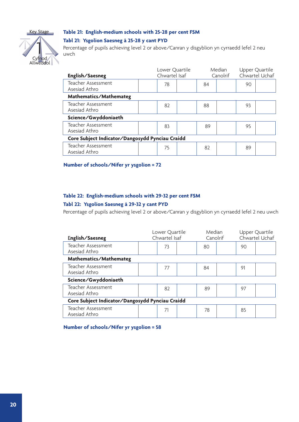

#### **Table 21: English-medium schools with 25-28 per cent FSM**

#### **Tabl 21: Ysgolion Saesneg â 25-28 y cant PYD**

Percentage of pupils achieving level 2 or above/Canran y disgyblion yn cyrraedd lefel 2 neu uwch

| English/Saesneg                                 | Chwartel Isaf | Lower Quartile | Median<br>Canolrif |    | Upper Quartile<br>Chwartel Uchaf |  |  |
|-------------------------------------------------|---------------|----------------|--------------------|----|----------------------------------|--|--|
| Teacher Assessment<br>Asesiad Athro             | 78            | 84             |                    | 90 |                                  |  |  |
| Mathematics/Mathemateg                          |               |                |                    |    |                                  |  |  |
| Teacher Assessment<br>Asesiad Athro             | 82            | 88             |                    | 93 |                                  |  |  |
| Science/Gwyddoniaeth                            |               |                |                    |    |                                  |  |  |
| Teacher Assessment<br>Asesiad Athro             | 83            | 89             |                    | 95 |                                  |  |  |
| Core Subject Indicator/Dangosydd Pynciau Craidd |               |                |                    |    |                                  |  |  |
| Teacher Assessment<br>Asesiad Athro             | 75            | 82             |                    | 89 |                                  |  |  |

**Number of schools/Nifer yr ysgolion = 72**

#### **Table 22: English-medium schools with 29-32 per cent FSM**

#### **Tabl 22: Ysgolion Saesneg â 29-32 y cant PYD**

Percentage of pupils achieving level 2 or above/Canran y disgyblion yn cyrraedd lefel 2 neu uwch

| English/Saesneg                                 | Lower Quartile<br>Chwartel Isaf |    | Median<br>Canolrif |    | Upper Quartile<br>Chwartel Uchaf |    |  |
|-------------------------------------------------|---------------------------------|----|--------------------|----|----------------------------------|----|--|
| Teacher Assessment<br>Asesiad Athro             |                                 | 73 |                    | 80 |                                  | 90 |  |
| Mathematics/Mathemateg                          |                                 |    |                    |    |                                  |    |  |
| Teacher Assessment<br>Asesiad Athro             |                                 | 77 |                    | 84 |                                  | 91 |  |
| Science/Gwyddoniaeth                            |                                 |    |                    |    |                                  |    |  |
| Teacher Assessment<br>Asesiad Athro             |                                 | 82 |                    | 89 |                                  | 97 |  |
| Core Subject Indicator/Dangosydd Pynciau Craidd |                                 |    |                    |    |                                  |    |  |
| Teacher Assessment<br>Asesiad Athro             |                                 | 71 |                    | 78 |                                  | 85 |  |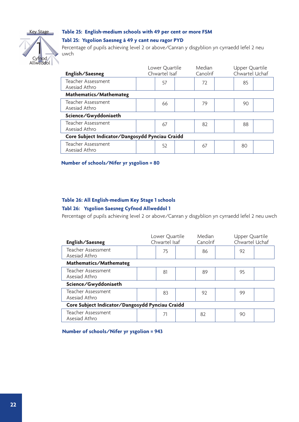

#### **Table 25: English-medium schools with 49 per cent or more FSM**

#### **Tabl 25: Ysgolion Saesneg â 49 y cant neu ragor PYD**

Percentage of pupils achieving level 2 or above/Canran y disgyblion yn cyrraedd lefel 2 neu uwch

|                                                 | Median | Upper Quartile<br>Chwartel Uchaf<br>Canolrif |  |  |  |  |
|-------------------------------------------------|--------|----------------------------------------------|--|--|--|--|
| 57                                              | 72     | 85                                           |  |  |  |  |
| Mathematics/Mathemateg                          |        |                                              |  |  |  |  |
| 66                                              | 79     | 90                                           |  |  |  |  |
| Science/Gwyddoniaeth                            |        |                                              |  |  |  |  |
| 67                                              | 82     | 88                                           |  |  |  |  |
| Core Subject Indicator/Dangosydd Pynciau Craidd |        |                                              |  |  |  |  |
| 52                                              | 67     | 80                                           |  |  |  |  |
|                                                 |        | Lower Quartile<br>Chwartel Isaf              |  |  |  |  |

**Number of schools/Nifer yr ysgolion = 80**

#### **Table 26: All English-medium Key Stage 1 schools**

#### **Tabl 26: Ysgolion Saesneg Cyfnod Allweddol 1**

Percentage of pupils achieving level 2 or above/Canran y disgyblion yn cyrraedd lefel 2 neu uwch

| English/Saesneg                                 | Lower Quartile<br>Chwartel Isaf | Median<br>Canolrif |    | Upper Quartile<br>Chwartel Uchaf |  |  |  |
|-------------------------------------------------|---------------------------------|--------------------|----|----------------------------------|--|--|--|
| Teacher Assessment<br>Asesiad Athro             | 75                              | 86                 | 97 |                                  |  |  |  |
| Mathematics/Mathemateg                          |                                 |                    |    |                                  |  |  |  |
| Teacher Assessment<br>Asesiad Athro             | 81                              | 89                 | 95 |                                  |  |  |  |
| Science/Gwyddoniaeth                            |                                 |                    |    |                                  |  |  |  |
| Teacher Assessment<br>Asesiad Athro             | 83                              | 97                 | 99 |                                  |  |  |  |
| Core Subject Indicator/Dangosydd Pynciau Craidd |                                 |                    |    |                                  |  |  |  |
| Teacher Assessment<br>Asesiad Athro             | 71                              | 82                 | 90 |                                  |  |  |  |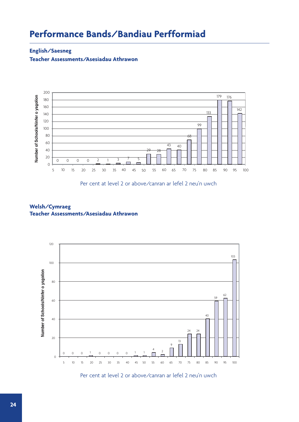## **Performance Bands/Bandiau Perfformiad**

#### **English/Saesneg**

**Teacher Assessments/Asesiadau Athrawon**



Per cent at level 2 or above/canran ar lefel 2 neu'n uwch

#### **Welsh/Cymraeg Teacher Assessments/Asesiadau Athrawon**



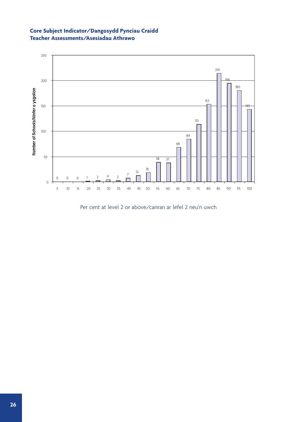#### **Core Subject Indicator/Dangosydd Pynciau Craidd Teacher Assessments/Asesiadau Athrawo**



Per cent at level 2 or above/canran ar lefel 2 neu'n uwch